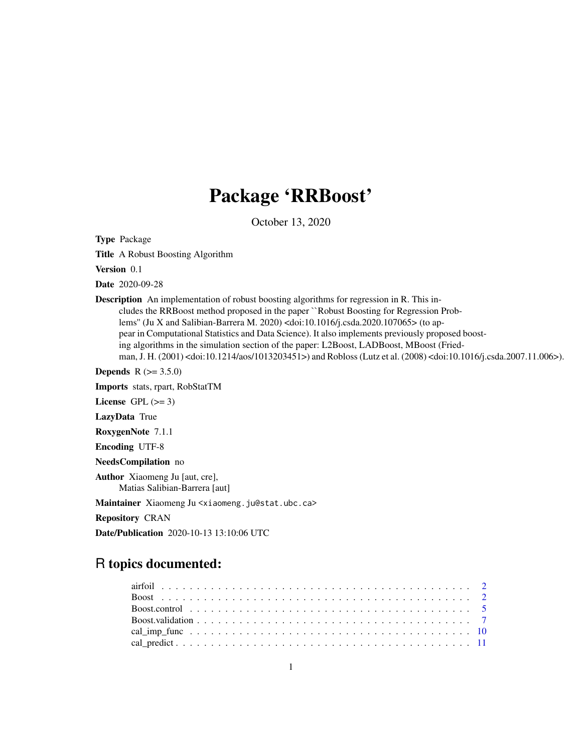## Package 'RRBoost'

October 13, 2020

Type Package

Title A Robust Boosting Algorithm

Version 0.1

Date 2020-09-28

Description An implementation of robust boosting algorithms for regression in R. This includes the RRBoost method proposed in the paper ``Robust Boosting for Regression Problems'' (Ju X and Salibian-Barrera M. 2020) <doi:10.1016/j.csda.2020.107065> (to appear in Computational Statistics and Data Science). It also implements previously proposed boosting algorithms in the simulation section of the paper: L2Boost, LADBoost, MBoost (Friedman, J. H. (2001) <doi:10.1214/aos/1013203451>) and Robloss (Lutz et al. (2008) <doi:10.1016/j.csda.2007.11.006>).

**Depends**  $R (= 3.5.0)$ 

Imports stats, rpart, RobStatTM

License GPL  $(>= 3)$ 

LazyData True

RoxygenNote 7.1.1

Encoding UTF-8

NeedsCompilation no

Author Xiaomeng Ju [aut, cre], Matias Salibian-Barrera [aut]

Maintainer Xiaomeng Ju <xiaomeng.ju@stat.ubc.ca>

Repository CRAN

Date/Publication 2020-10-13 13:10:06 UTC

## R topics documented: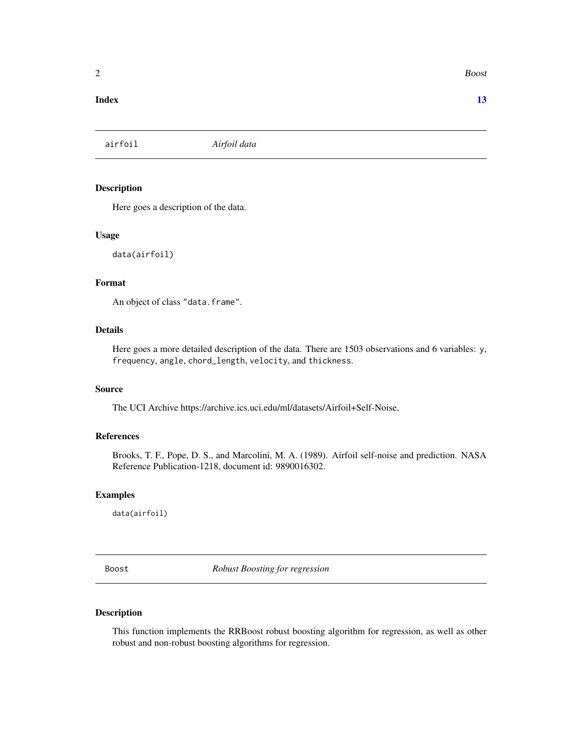#### <span id="page-1-0"></span>**Index** [13](#page-12-0)

airfoil *Airfoil data*

## Description

Here goes a description of the data.

#### Usage

data(airfoil)

#### Format

An object of class "data.frame".

## Details

Here goes a more detailed description of the data. There are 1503 observations and 6 variables: y, frequency, angle, chord\_length, velocity, and thickness.

## Source

The UCI Archive https://archive.ics.uci.edu/ml/datasets/Airfoil+Self-Noise,

#### References

Brooks, T. F., Pope, D. S., and Marcolini, M. A. (1989). Airfoil self-noise and prediction. NASA Reference Publication-1218, document id: 9890016302.

## Examples

data(airfoil)

<span id="page-1-1"></span>Boost *Robust Boosting for regression*

#### Description

This function implements the RRBoost robust boosting algorithm for regression, as well as other robust and non-robust boosting algorithms for regression.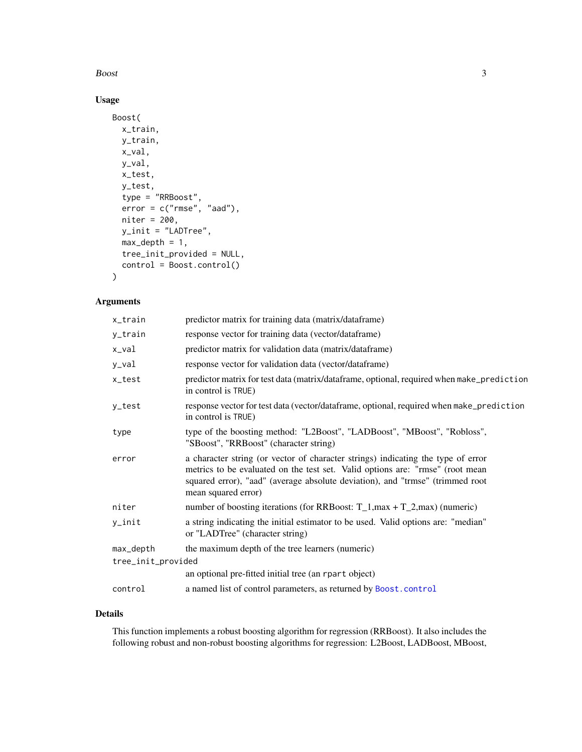<span id="page-2-0"></span> $\mathbf{Boost}$  3

## Usage

```
Boost(
 x_train,
 y_train,
 x_val,
 y_val,
 x_test,
 y_test,
  type = "RRBoost",
 error = c("rmse", "aad"),niter = 200,
 y_init = "LADTree",
 max\_depth = 1,
 tree_init_provided = NULL,
  control = Boost.control()
)
```
## Arguments

| x_train            | predictor matrix for training data (matrix/dataframe)                                                                                                                                                                                                                     |
|--------------------|---------------------------------------------------------------------------------------------------------------------------------------------------------------------------------------------------------------------------------------------------------------------------|
| y_train            | response vector for training data (vector/dataframe)                                                                                                                                                                                                                      |
| x_val              | predictor matrix for validation data (matrix/dataframe)                                                                                                                                                                                                                   |
| y_val              | response vector for validation data (vector/dataframe)                                                                                                                                                                                                                    |
| x_test             | predictor matrix for test data (matrix/dataframe, optional, required when make_prediction<br>in control is TRUE)                                                                                                                                                          |
| y_test             | response vector for test data (vector/dataframe, optional, required when make_prediction<br>in control is TRUE)                                                                                                                                                           |
| type               | type of the boosting method: "L2Boost", "LADBoost", "MBoost", "Robloss",<br>"SBoost", "RRBoost" (character string)                                                                                                                                                        |
| error              | a character string (or vector of character strings) indicating the type of error<br>metrics to be evaluated on the test set. Valid options are: "rmse" (root mean<br>squared error), "aad" (average absolute deviation), and "trmse" (trimmed root<br>mean squared error) |
| niter              | number of boosting iterations (for RRBoost: $T_1$ , max + $T_2$ , max) (numeric)                                                                                                                                                                                          |
| y_init             | a string indicating the initial estimator to be used. Valid options are: "median"<br>or "LADTree" (character string)                                                                                                                                                      |
| max_depth          | the maximum depth of the tree learners (numeric)                                                                                                                                                                                                                          |
| tree_init_provided |                                                                                                                                                                                                                                                                           |
|                    | an optional pre-fitted initial tree (an rpart object)                                                                                                                                                                                                                     |
| control            | a named list of control parameters, as returned by Boost.control                                                                                                                                                                                                          |
|                    |                                                                                                                                                                                                                                                                           |

## Details

This function implements a robust boosting algorithm for regression (RRBoost). It also includes the following robust and non-robust boosting algorithms for regression: L2Boost, LADBoost, MBoost,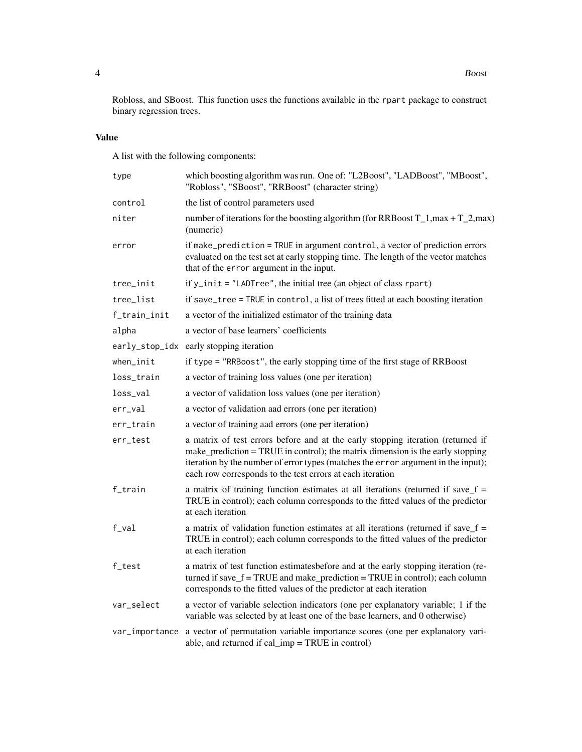Robloss, and SBoost. This function uses the functions available in the rpart package to construct binary regression trees.

## Value

A list with the following components:

| type           | which boosting algorithm was run. One of: "L2Boost", "LADBoost", "MBoost",<br>"Robloss", "SBoost", "RRBoost" (character string)                                                                                                                                                                                     |
|----------------|---------------------------------------------------------------------------------------------------------------------------------------------------------------------------------------------------------------------------------------------------------------------------------------------------------------------|
| control        | the list of control parameters used                                                                                                                                                                                                                                                                                 |
| niter          | number of iterations for the boosting algorithm (for RRBoost $T_1$ , max + $T_2$ , max)<br>(numeric)                                                                                                                                                                                                                |
| error          | if make_prediction = TRUE in argument control, a vector of prediction errors<br>evaluated on the test set at early stopping time. The length of the vector matches<br>that of the error argument in the input.                                                                                                      |
| tree_init      | if $y$ _init = "LADTree", the initial tree (an object of class rpart)                                                                                                                                                                                                                                               |
| tree_list      | if save_tree = TRUE in control, a list of trees fitted at each boosting iteration                                                                                                                                                                                                                                   |
| f_train_init   | a vector of the initialized estimator of the training data                                                                                                                                                                                                                                                          |
| alpha          | a vector of base learners' coefficients                                                                                                                                                                                                                                                                             |
| early_stop_idx | early stopping iteration                                                                                                                                                                                                                                                                                            |
| when_init      | if type = "RRBoost", the early stopping time of the first stage of RRBoost                                                                                                                                                                                                                                          |
| loss_train     | a vector of training loss values (one per iteration)                                                                                                                                                                                                                                                                |
| loss_val       | a vector of validation loss values (one per iteration)                                                                                                                                                                                                                                                              |
| $err\_val$     | a vector of validation aad errors (one per iteration)                                                                                                                                                                                                                                                               |
| err_train      | a vector of training aad errors (one per iteration)                                                                                                                                                                                                                                                                 |
| err_test       | a matrix of test errors before and at the early stopping iteration (returned if<br>make_prediction = TRUE in control); the matrix dimension is the early stopping<br>iteration by the number of error types (matches the error argument in the input);<br>each row corresponds to the test errors at each iteration |
| f_train        | a matrix of training function estimates at all iterations (returned if save $f =$<br>TRUE in control); each column corresponds to the fitted values of the predictor<br>at each iteration                                                                                                                           |
| $f$ _val       | a matrix of validation function estimates at all iterations (returned if save $f =$<br>TRUE in control); each column corresponds to the fitted values of the predictor<br>at each iteration                                                                                                                         |
| f_test         | a matrix of test function estimatesbefore and at the early stopping iteration (re-<br>turned if save_ $f = TRUE$ and make_prediction = TRUE in control); each column<br>corresponds to the fitted values of the predictor at each iteration                                                                         |
| var_select     | a vector of variable selection indicators (one per explanatory variable; 1 if the<br>variable was selected by at least one of the base learners, and 0 otherwise)                                                                                                                                                   |
| var_importance | a vector of permutation variable importance scores (one per explanatory vari-<br>able, and returned if cal_imp = TRUE in control)                                                                                                                                                                                   |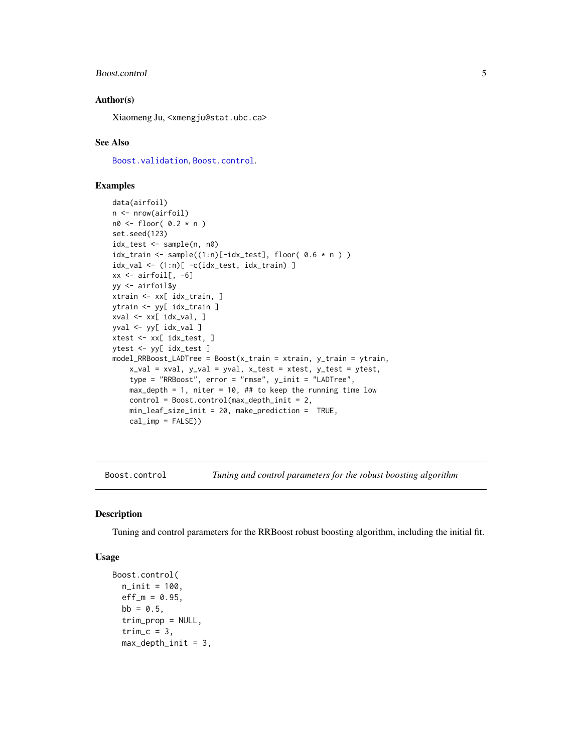#### <span id="page-4-0"></span>Boost.control 5

#### Author(s)

Xiaomeng Ju, <xmengju@stat.ubc.ca>

#### See Also

[Boost.validation](#page-6-1), [Boost.control](#page-4-1).

#### Examples

```
data(airfoil)
n <- nrow(airfoil)
n0 <- floor( 0.2 * n )
set.seed(123)
idx_test <- sample(n, n0)
idx\_train \leftarrow sample((1:n)[-idx\_test], flow( 0.6 * n ) )idx_val <- (1:n)[ -c(idx_test, idx_train) ]
xx \le -\arcsin 1, -6]
yy <- airfoil$y
xtrain <- xx[ idx_train, ]
ytrain <- yy[ idx_train ]
xval <- xx[ idx_val, ]
yval <- yy[ idx_val ]
xtest <- xx[ idx_test, ]
ytest <- yy[ idx_test ]
model_RRBoost_LADTree = Boost(x_train = xtrain, y_train = ytrain,
    x_val = xval, y_val = yval, x_test = xtest, y_test = ytest,
    type = "RRBoost", error = "rmse", y_init = "LADTree",
    max_{\text{depth}} = 1, niter = 10, ## to keep the running time low
    control = Boost.control(max_depth_init = 2,
    min_leaf_size_init = 20, make_prediction = TRUE,
    cal\_imp = FALSE))
```
<span id="page-4-1"></span>Boost.control *Tuning and control parameters for the robust boosting algorithm*

#### Description

Tuning and control parameters for the RRBoost robust boosting algorithm, including the initial fit.

#### Usage

```
Boost.control(
  n_init = 100,
  eff_{m} = 0.95,
 bb = 0.5,
  trim_prop = NULL,
  trim_c = 3,
  max\_depth\_init = 3,
```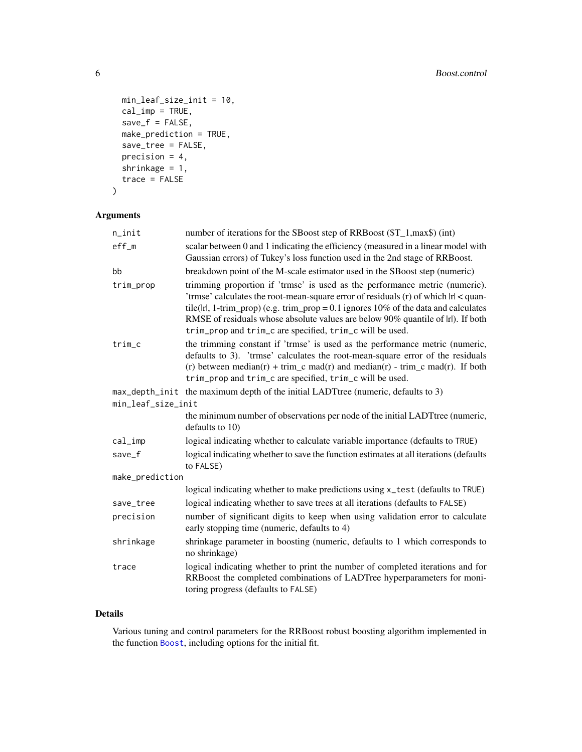```
min_leaf_size_init = 10,
 cal\_imp = TRUE,save_f = FALSE,make_prediction = TRUE,
 save_tree = FALSE,
 precision = 4,
 shrinkage = 1,
 trace = FALSE
)
```
## Arguments

| $n$ _init          | number of iterations for the SBoost step of RRBoost (\$T_1,max\$) (int)                                                                                                                                                                                                                                                                                                                                          |
|--------------------|------------------------------------------------------------------------------------------------------------------------------------------------------------------------------------------------------------------------------------------------------------------------------------------------------------------------------------------------------------------------------------------------------------------|
| $eff_m$            | scalar between 0 and 1 indicating the efficiency (measured in a linear model with<br>Gaussian errors) of Tukey's loss function used in the 2nd stage of RRBoost.                                                                                                                                                                                                                                                 |
| bb                 | breakdown point of the M-scale estimator used in the SBoost step (numeric)                                                                                                                                                                                                                                                                                                                                       |
| trim_prop          | trimming proportion if 'trmse' is used as the performance metric (numeric).<br>'trmse' calculates the root-mean-square error of residuals $(r)$ of which $ r  <$ quan-<br>tile( $ r $ , 1-trim_prop) (e.g. trim_prop = 0.1 ignores 10% of the data and calculates<br>RMSE of residuals whose absolute values are below 90% quantile of lrl). If both<br>trim_prop and trim_c are specified, trim_c will be used. |
| $trim_c$           | the trimming constant if 'trmse' is used as the performance metric (numeric,<br>defaults to 3). 'trmse' calculates the root-mean-square error of the residuals<br>(r) between median(r) + trim_c mad(r) and median(r) - trim_c mad(r). If both<br>trim_prop and trim_c are specified, trim_c will be used.                                                                                                       |
|                    | max_depth_init the maximum depth of the initial LADTtree (numeric, defaults to 3)                                                                                                                                                                                                                                                                                                                                |
| min_leaf_size_init |                                                                                                                                                                                                                                                                                                                                                                                                                  |
|                    | the minimum number of observations per node of the initial LADT tree (numeric,<br>defaults to 10)                                                                                                                                                                                                                                                                                                                |
| $cal_i$            | logical indicating whether to calculate variable importance (defaults to TRUE)                                                                                                                                                                                                                                                                                                                                   |
| save_f             | logical indicating whether to save the function estimates at all iterations (defaults<br>to FALSE)                                                                                                                                                                                                                                                                                                               |
| make_prediction    |                                                                                                                                                                                                                                                                                                                                                                                                                  |
|                    | logical indicating whether to make predictions using x_test (defaults to TRUE)                                                                                                                                                                                                                                                                                                                                   |
| save_tree          | logical indicating whether to save trees at all iterations (defaults to FALSE)                                                                                                                                                                                                                                                                                                                                   |
| precision          | number of significant digits to keep when using validation error to calculate<br>early stopping time (numeric, defaults to 4)                                                                                                                                                                                                                                                                                    |
| shrinkage          | shrinkage parameter in boosting (numeric, defaults to 1 which corresponds to<br>no shrinkage)                                                                                                                                                                                                                                                                                                                    |
| trace              | logical indicating whether to print the number of completed iterations and for<br>RRBoost the completed combinations of LADTree hyperparameters for moni-<br>toring progress (defaults to FALSE)                                                                                                                                                                                                                 |

## Details

Various tuning and control parameters for the RRBoost robust boosting algorithm implemented in the function [Boost](#page-1-1), including options for the initial fit.

<span id="page-5-0"></span>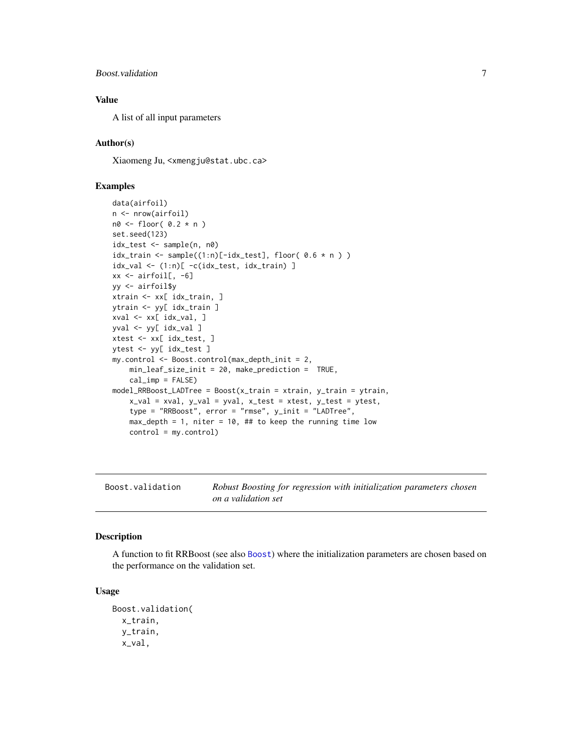#### <span id="page-6-0"></span>Boost.validation 7

#### Value

A list of all input parameters

#### Author(s)

Xiaomeng Ju, <xmengju@stat.ubc.ca>

#### Examples

```
data(airfoil)
n <- nrow(airfoil)
n0 \leq - floor( 0.2 \times n )
set.seed(123)
idx_test <- sample(n, n0)
idx\_train \leftarrow sample((1:n)[-idx\_test], flow( 0.6 * n ) )idx_val <- (1:n)[ -c(idx_test, idx_train) ]
xx \le -\arcsin 1, -6]
yy <- airfoil$y
xtrain <- xx[ idx_train, ]
ytrain <- yy[ idx_train ]
xval <- xx[ idx_val, ]
yval <- yy[ idx_val ]
xtest <- xx[ idx_test, ]
ytest <- yy[ idx_test ]
my.control <- Boost.control(max_depth_init = 2,
    min_leaf_size_init = 20, make_prediction = TRUE,
    cal\_imp = FALSE)
model_RRBoost_LADTree = Boost(x_train = xtrain, y_train = ytrain,
    x_val = xval, y_val = yval, x_test = xtest, y_test = ytest,
    type = "RRBoost", error = "rmse", y_init = "LADTree",
    max_{\text{depth}} = 1, niter = 10, ## to keep the running time low
    control = my.control)
```
<span id="page-6-1"></span>Boost.validation *Robust Boosting for regression with initialization parameters chosen on a validation set*

#### Description

A function to fit RRBoost (see also [Boost](#page-1-1)) where the initialization parameters are chosen based on the performance on the validation set.

#### Usage

```
Boost.validation(
  x_train,
 y_train,
  x_val,
```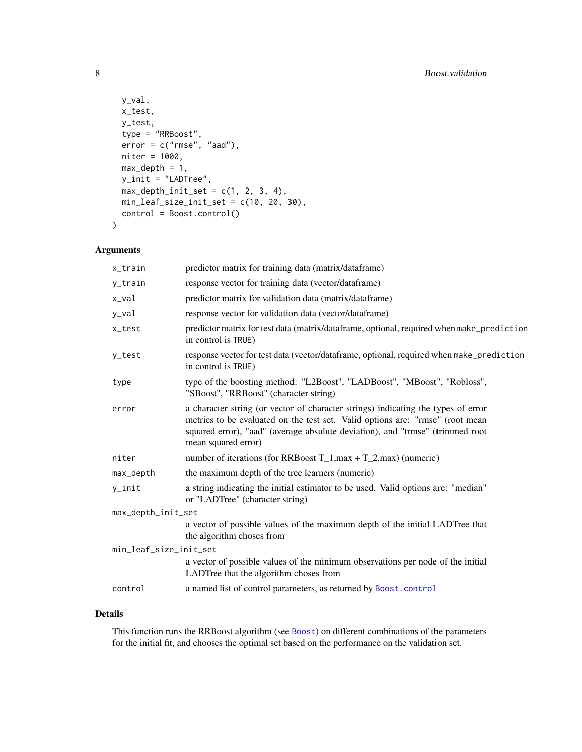```
y_val,
 x_test,
 y_test,
  type = "RRBoost",
  error = c("rmse", "aad"),
 niter = 1000,
 max\_depth = 1,
 y_init = "LADTree",
 max\_depth\_init\_set = c(1, 2, 3, 4),min_leaf_size_init_set = c(10, 20, 30),
  control = Boost.control()
\overline{\phantom{a}}
```
## Arguments

| x_train                | predictor matrix for training data (matrix/dataframe)                                                                                                                                                                                                                      |  |  |  |  |
|------------------------|----------------------------------------------------------------------------------------------------------------------------------------------------------------------------------------------------------------------------------------------------------------------------|--|--|--|--|
| y_train                | response vector for training data (vector/dataframe)                                                                                                                                                                                                                       |  |  |  |  |
| x_val                  | predictor matrix for validation data (matrix/dataframe)                                                                                                                                                                                                                    |  |  |  |  |
| y_val                  | response vector for validation data (vector/dataframe)                                                                                                                                                                                                                     |  |  |  |  |
| x_test                 | predictor matrix for test data (matrix/dataframe, optional, required when make_prediction<br>in control is TRUE)                                                                                                                                                           |  |  |  |  |
| y_test                 | response vector for test data (vector/dataframe, optional, required when make_prediction<br>in control is TRUE)                                                                                                                                                            |  |  |  |  |
| type                   | type of the boosting method: "L2Boost", "LADBoost", "MBoost", "Robloss",<br>"SBoost", "RRBoost" (character string)                                                                                                                                                         |  |  |  |  |
| error                  | a character string (or vector of character strings) indicating the types of error<br>metrics to be evaluated on the test set. Valid options are: "rmse" (root mean<br>squared error), "aad" (average absulute deviation), and "trmse" (trimmed root<br>mean squared error) |  |  |  |  |
| niter                  | number of iterations (for RRBoost $T_1$ , max + $T_2$ , max) (numeric)                                                                                                                                                                                                     |  |  |  |  |
| max_depth              | the maximum depth of the tree learners (numeric)                                                                                                                                                                                                                           |  |  |  |  |
| y_init                 | a string indicating the initial estimator to be used. Valid options are: "median"<br>or "LADTree" (character string)                                                                                                                                                       |  |  |  |  |
| max_depth_init_set     |                                                                                                                                                                                                                                                                            |  |  |  |  |
|                        | a vector of possible values of the maximum depth of the initial LADTree that<br>the algorithm choses from                                                                                                                                                                  |  |  |  |  |
| min_leaf_size_init_set |                                                                                                                                                                                                                                                                            |  |  |  |  |
|                        | a vector of possible values of the minimum observations per node of the initial<br>LADTree that the algorithm choses from                                                                                                                                                  |  |  |  |  |
| control                | a named list of control parameters, as returned by Boost.control                                                                                                                                                                                                           |  |  |  |  |
|                        |                                                                                                                                                                                                                                                                            |  |  |  |  |

## Details

This function runs the RRBoost algorithm (see [Boost](#page-1-1)) on different combinations of the parameters for the initial fit, and chooses the optimal set based on the performance on the validation set.

<span id="page-7-0"></span>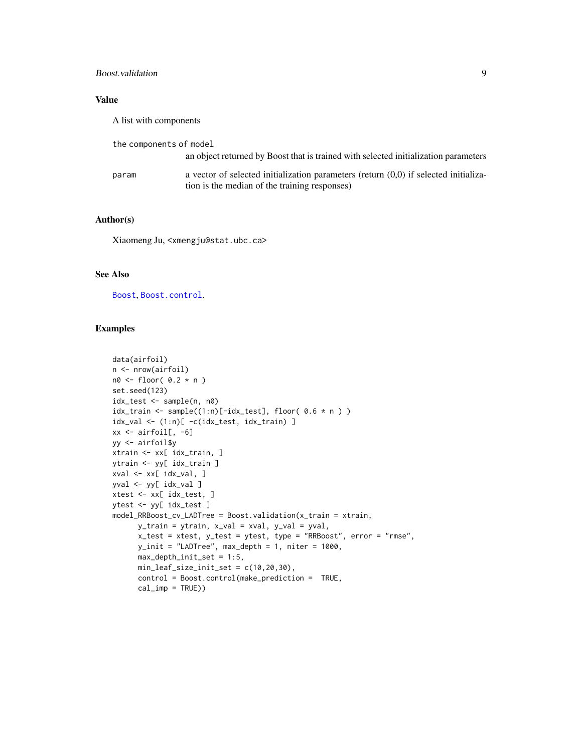### <span id="page-8-0"></span>Boost.validation 9

## Value

A list with components

| the components of model |                                                                                          |
|-------------------------|------------------------------------------------------------------------------------------|
|                         | an object returned by Boost that is trained with selected initialization parameters      |
| param                   | a vector of selected initialization parameters (return $(0,0)$ ) if selected initializa- |
|                         | tion is the median of the training responses)                                            |

#### Author(s)

Xiaomeng Ju, <xmengju@stat.ubc.ca>

## See Also

[Boost](#page-1-1), [Boost.control](#page-4-1).

## Examples

```
data(airfoil)
n <- nrow(airfoil)
n0 <- floor( 0.2 * n )
set.seed(123)
idx_test <- sample(n, n0)
idx\_train \leftarrow sample((1:n)[-idx\_test], flow( 0.6 * n ) )idx_val <- (1:n)[ -c(idx_test, idx_train) ]
xx <- airfoil[, -6]
yy <- airfoil$y
xtrain <- xx[ idx_train, ]
ytrain <- yy[ idx_train ]
xval <- xx[ idx_val, ]
yval <- yy[ idx_val ]
xtest <- xx[ idx_test, ]
ytest <- yy[ idx_test ]
model_RRBoost_cv_LADTree = Boost.validation(x_train = xtrain,
      y_train = ytrain, x_val = xval, y_val = yval,
      x_test = xtest, y_test = ytest, type = "RRBoost", error = "rmse",
      y_init = "LADTree", max_depth = 1, niter = 1000,
      max_depth_init_set = 1:5,
      min_leaf_size_init_set = c(10,20,30),
      control = Boost.control(make_prediction = TRUE,
      cal\_imp = TRUE))
```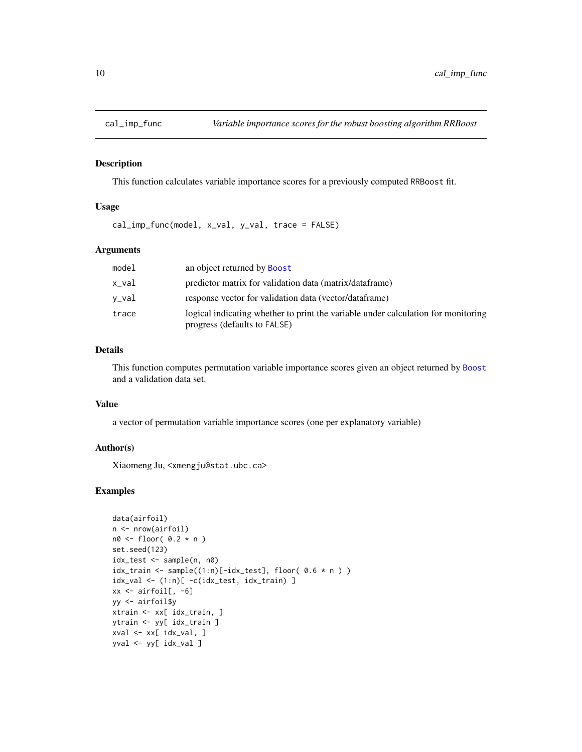<span id="page-9-0"></span>

#### Description

This function calculates variable importance scores for a previously computed RRBoost fit.

#### Usage

cal\_imp\_func(model, x\_val, y\_val, trace = FALSE)

## Arguments

| model | an object returned by <b>Boost</b>                                                                                |
|-------|-------------------------------------------------------------------------------------------------------------------|
| x_val | predictor matrix for validation data (matrix/dataframe)                                                           |
| v_val | response vector for validation data (vector/dataframe)                                                            |
| trace | logical indicating whether to print the variable under calculation for monitoring<br>progress (defaults to FALSE) |

## Details

This function computes permutation variable importance scores given an object returned by [Boost](#page-1-1) and a validation data set.

#### Value

a vector of permutation variable importance scores (one per explanatory variable)

## Author(s)

Xiaomeng Ju, <xmengju@stat.ubc.ca>

## Examples

```
data(airfoil)
n <- nrow(airfoil)
n0 < - floor( 0.2 * n )
set.seed(123)
idx_test <- sample(n, n0)
idx\_train \leftarrow sample((1:n)[-idx\_test], flow( 0.6 * n ) )idx\_val \leftarrow (1:n)[ -c(idx\_test, idx\_train) ]xx \le airfoil[, -6]
yy <- airfoil$y
xtrain <- xx[ idx_train, ]
ytrain <- yy[ idx_train ]
xval <- xx[ idx_val, ]
yval <- yy[ idx_val ]
```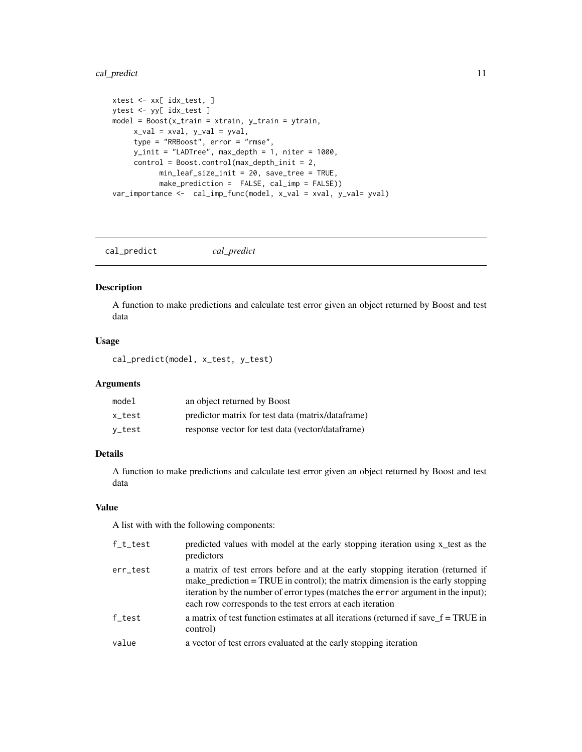## <span id="page-10-0"></span>cal\_predict 11

```
xtest <- xx[ idx_test, ]
ytest <- yy[ idx_test ]
model = Boost(x_train = xtrain, y_train = ytrain,
    x_val = xval, y_val = yval,
    type = "RRBoost", error = "rmse",
    y_init = "LADTree", max_depth = 1, niter = 1000,
     control = Boost.control(max_depth_init = 2,
          min_leaf_size_init = 20, save_tree = TRUE,
          make_prediction = FALSE, cal_imp = FALSE))
var_importance <- cal_imp_func(model, x_val = xval, y_val= yval)
```
cal\_predict *cal\_predict*

## Description

A function to make predictions and calculate test error given an object returned by Boost and test data

#### Usage

cal\_predict(model, x\_test, y\_test)

#### Arguments

| model  | an object returned by Boost                       |
|--------|---------------------------------------------------|
| x test | predictor matrix for test data (matrix/dataframe) |
| v_test | response vector for test data (vector/dataframe)  |

## Details

A function to make predictions and calculate test error given an object returned by Boost and test data

## Value

A list with with the following components:

| f_t_test | predicted values with model at the early stopping iteration using x_test as the<br>predictors                                                                                                                                                                                                                       |
|----------|---------------------------------------------------------------------------------------------------------------------------------------------------------------------------------------------------------------------------------------------------------------------------------------------------------------------|
| err_test | a matrix of test errors before and at the early stopping iteration (returned if<br>make_prediction = TRUE in control); the matrix dimension is the early stopping<br>iteration by the number of error types (matches the error argument in the input);<br>each row corresponds to the test errors at each iteration |
| f test   | a matrix of test function estimates at all iterations (returned if save $f = TRUE$ in<br>control)                                                                                                                                                                                                                   |
| value    | a vector of test errors evaluated at the early stopping iteration                                                                                                                                                                                                                                                   |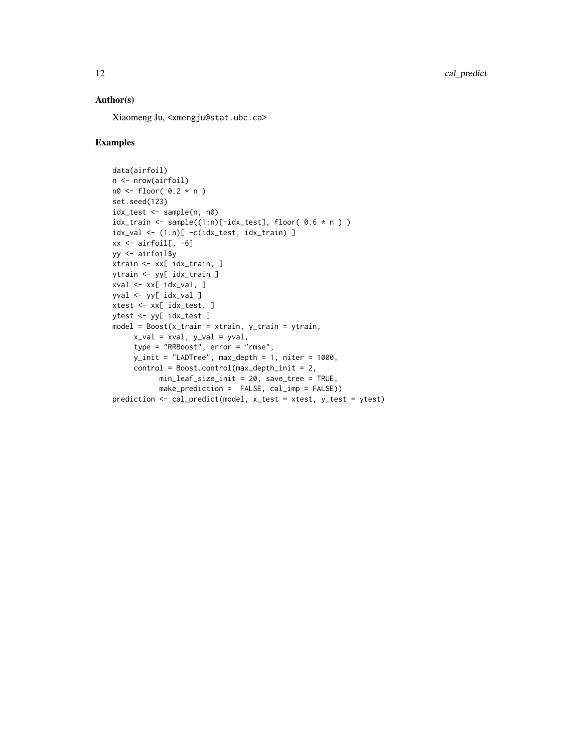## Author(s)

Xiaomeng Ju, <xmengju@stat.ubc.ca>

#### Examples

```
data(airfoil)
n <- nrow(airfoil)
n0 \leftarrow floor( 0.2 \times n )
set.seed(123)
idx_test <- sample(n, n0)
idx\_train \leq sample((1:n)[-idx\_test], floor( 0.6 * n ) )idx_val <- (1:n)[ -c(idx_test, idx_train) ]
xx \le airfoil[, -6]
yy <- airfoil$y
xtrain <- xx[ idx_train, ]
ytrain <- yy[ idx_train ]
xval <- xx[ idx_val, ]
yval <- yy[ idx_val ]
xtest <- xx[ idx_test, ]
ytest <- yy[ idx_test ]
model = Boost(x_train = xtrain, y_train = ytrain,
     x_val = xval, y_val = yval,
     type = "RRBoost", error = "rmse",
     y\_init = "LADTree", max\_depth = 1, niter = 1000,control = Boost.control(max_depth_init = 2,
           min_leaf_size_init = 20, save_tree = TRUE,
           make_prediction = FALSE, cal_imp = FALSE))
prediction <- cal_predict(model, x_test = xtest, y_test = ytest)
```